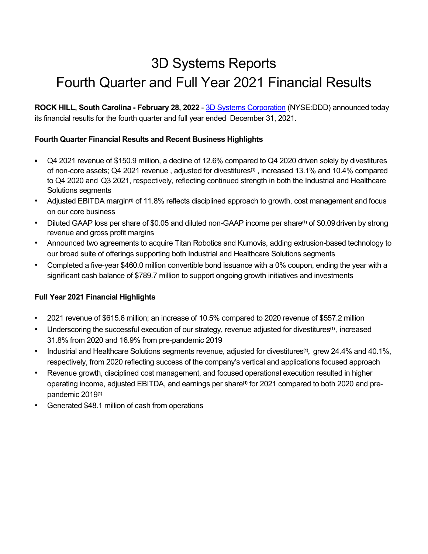# 3D Systems Reports Fourth Quarter and Full Year 2021 Financial Results

ROCK HILL, South Carolina - February 28, 2022 - 3D Systems Corporation (NYSE:DDD) announced today its financial results for the fourth quarter and full year ended December 31, 2021.

# Fourth Quarter Financial Results and Recent Business Highlights

- Q4 2021 revenue of \$150.9 million, a decline of 12.6% compared to Q4 2020 driven solely by divestitures of non-core assets; Q4 2021 revenue , adjusted for divestitures(1) , increased 13.1% and 10.4% compared to Q4 2020 and Q3 2021, respectively, reflecting continued strength in both the Industrial and Healthcare Solutions segments
- Adjusted EBITDA margin<sup>(1)</sup> of 11.8% reflects disciplined approach to growth, cost management and focus on our core business
- Diluted GAAP loss per share of \$0.05 and diluted non-GAAP income per share(1) of \$0.09driven by strong revenue and gross profit margins
- Announced two agreements to acquire Titan Robotics and Kumovis, adding extrusion-based technology to our broad suite of offerings supporting both Industrial and Healthcare Solutions segments
- Completed a five-year \$460.0 million convertible bond issuance with a 0% coupon, ending the year with a significant cash balance of \$789.7 million to support ongoing growth initiatives and investments

# Full Year 2021 Financial Highlights

- 2021 revenue of \$615.6 million; an increase of 10.5% compared to 2020 revenue of \$557.2 million
- Underscoring the successful execution of our strategy, revenue adjusted for divestitures<sup>(1)</sup>, increased 31.8% from 2020 and 16.9% from pre-pandemic 2019
- Industrial and Healthcare Solutions segments revenue, adjusted for divestitures<sup>(1)</sup>, grew 24.4% and 40.1%, respectively, from 2020 reflecting success of the company's vertical and applications focused approach
- Revenue growth, disciplined cost management, and focused operational execution resulted in higher operating income, adjusted EBITDA, and earnings per share<sup>(1)</sup> for 2021 compared to both 2020 and prepandemic 2019(1)
- Generated \$48.1 million of cash from operations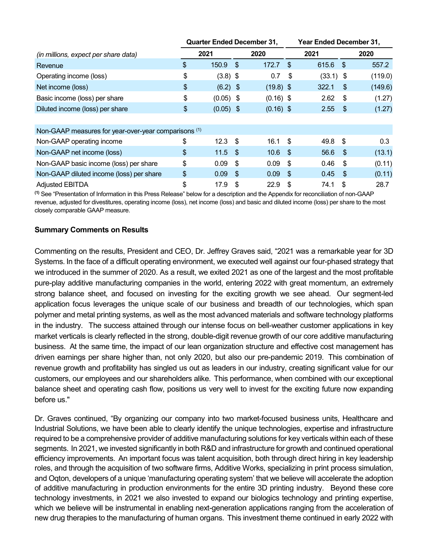|                                                      | <b>Quarter Ended December 31,</b> |      |                    | Year Ended December 31, |             |      |         |  |  |
|------------------------------------------------------|-----------------------------------|------|--------------------|-------------------------|-------------|------|---------|--|--|
| (in millions, expect per share data)                 | 2021                              |      | 2020               |                         | 2021        |      | 2020    |  |  |
| Revenue                                              | \$<br>$150.9$ \$                  |      | 172.7              | -\$                     | 615.6 \$    |      | 557.2   |  |  |
| Operating income (loss)                              | \$<br>$(3.8)$ \$                  |      | 0.7                | \$                      | $(33.1)$ \$ |      | (119.0) |  |  |
| Net income (loss)                                    | \$<br>$(6.2)$ \$                  |      | $(19.8)$ \$        |                         | 322.1       | \$   | (149.6) |  |  |
| Basic income (loss) per share                        | \$<br>$(0.05)$ \$                 |      | $(0.16)$ \$        |                         | 2.62        | -\$  | (1.27)  |  |  |
| Diluted income (loss) per share                      | \$<br>$(0.05)$ \$                 |      | $(0.16)$ \$        |                         | 2.55        | - \$ | (1.27)  |  |  |
|                                                      |                                   |      |                    |                         |             |      |         |  |  |
| Non-GAAP measures for year-over-year comparisons (1) |                                   |      |                    |                         |             |      |         |  |  |
| Non-GAAP operating income                            | \$<br>$12.3$ \$                   |      | $16.1 \text{ }$ \$ |                         | 49.8 \$     |      | 0.3     |  |  |
| Non-GAAP net income (loss)                           | \$<br>$11.5$ \$                   |      | 10.6               | - \$                    | 56.6        | -\$  | (13.1)  |  |  |
| Non-GAAP basic income (loss) per share               | \$<br>0.09                        | - \$ | 0.09               | -\$                     | 0.46        | \$   | (0.11)  |  |  |
| Non-GAAP diluted income (loss) per share             | \$<br>$0.09$ \$                   |      | $0.09$ \$          |                         | 0.45        | -S   | (0.11)  |  |  |
| <b>Adjusted EBITDA</b>                               | \$<br>17.9                        | -\$  | 22.9               | S                       | 74.1        | \$   | 28.7    |  |  |

(1) See "Presentation of Information in this Press Release" below for a description and the Appendix for reconciliation of non-GAAP revenue, adjusted for divestitures, operating income (loss), net income (loss) and basic and diluted income (loss) per share to the most closely comparable GAAP measure.

## Summary Comments on Results

Commenting on the results, President and CEO, Dr. Jeffrey Graves said, "2021 was a remarkable year for 3D Systems. In the face of a difficult operating environment, we executed well against our four-phased strategy that we introduced in the summer of 2020. As a result, we exited 2021 as one of the largest and the most profitable pure-play additive manufacturing companies in the world, entering 2022 with great momentum, an extremely strong balance sheet, and focused on investing for the exciting growth we see ahead. Our segment-led application focus leverages the unique scale of our business and breadth of our technologies, which span polymer and metal printing systems, as well as the most advanced materials and software technology platforms in the industry. The success attained through our intense focus on bell-weather customer applications in key market verticals is clearly reflected in the strong, double-digit revenue growth of our core additive manufacturing business. At the same time, the impact of our lean organization structure and effective cost management has driven earnings per share higher than, not only 2020, but also our pre-pandemic 2019. This combination of revenue growth and profitability has singled us out as leaders in our industry, creating significant value for our customers, our employees and our shareholders alike. This performance, when combined with our exceptional balance sheet and operating cash flow, positions us very well to invest for the exciting future now expanding before us."

Dr. Graves continued, "By organizing our company into two market-focused business units, Healthcare and Industrial Solutions, we have been able to clearly identify the unique technologies, expertise and infrastructure required to be a comprehensive provider of additive manufacturing solutions for key verticals within each of these segments. In 2021, we invested significantly in both R&D and infrastructure for growth and continued operational efficiency improvements. An important focus was talent acquisition, both through direct hiring in key leadership roles, and through the acquisition of two software firms, Additive Works, specializing in print process simulation, and Oqton, developers of a unique 'manufacturing operating system' that we believe will accelerate the adoption of additive manufacturing in production environments for the entire 3D printing industry. Beyond these core technology investments, in 2021 we also invested to expand our biologics technology and printing expertise, which we believe will be instrumental in enabling next-generation applications ranging from the acceleration of new drug therapies to the manufacturing of human organs. This investment theme continued in early 2022 with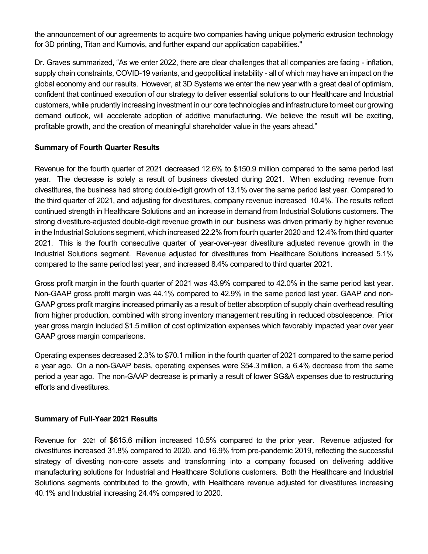the announcement of our agreements to acquire two companies having unique polymeric extrusion technology for 3D printing, Titan and Kumovis, and further expand our application capabilities."

Dr. Graves summarized, "As we enter 2022, there are clear challenges that all companies are facing - inflation, supply chain constraints, COVID-19 variants, and geopolitical instability - all of which may have an impact on the global economy and our results. However, at 3D Systems we enter the new year with a great deal of optimism, confident that continued execution of our strategy to deliver essential solutions to our Healthcare and Industrial customers, while prudently increasing investment in our core technologies and infrastructure to meet our growing demand outlook, will accelerate adoption of additive manufacturing. We believe the result will be exciting, profitable growth, and the creation of meaningful shareholder value in the years ahead."

## Summary of Fourth Quarter Results

Revenue for the fourth quarter of 2021 decreased 12.6% to \$150.9 million compared to the same period last year. The decrease is solely a result of business divested during 2021. When excluding revenue from divestitures, the business had strong double-digit growth of 13.1% over the same period last year. Compared to the third quarter of 2021, and adjusting for divestitures, company revenue increased 10.4%. The results reflect continued strength in Healthcare Solutions and an increase in demand from Industrial Solutions customers. The strong divestiture-adjusted double-digit revenue growth in our business was driven primarily by higher revenue in the Industrial Solutions segment, which increased 22.2% from fourth quarter 2020 and 12.4% from third quarter 2021. This is the fourth consecutive quarter of year-over-year divestiture adjusted revenue growth in the Industrial Solutions segment. Revenue adjusted for divestitures from Healthcare Solutions increased 5.1% compared to the same period last year, and increased 8.4% compared to third quarter 2021.

Gross profit margin in the fourth quarter of 2021 was 43.9% compared to 42.0% in the same period last year. Non-GAAP gross profit margin was 44.1% compared to 42.9% in the same period last year. GAAP and non-GAAP gross profit margins increased primarily as a result of better absorption of supply chain overhead resulting from higher production, combined with strong inventory management resulting in reduced obsolescence. Prior year gross margin included \$1.5 million of cost optimization expenses which favorably impacted year over year GAAP gross margin comparisons.

Operating expenses decreased 2.3% to \$70.1 million in the fourth quarter of 2021 compared to the same period a year ago. On a non-GAAP basis, operating expenses were \$54.3 million, a 6.4% decrease from the same period a year ago. The non-GAAP decrease is primarily a result of lower SG&A expenses due to restructuring efforts and divestitures.

## Summary of Full-Year 2021 Results

Revenue for 2021 of \$615.6 million increased 10.5% compared to the prior year. Revenue adjusted for divestitures increased 31.8% compared to 2020, and 16.9% from pre-pandemic 2019, reflecting the successful strategy of divesting non-core assets and transforming into a company focused on delivering additive manufacturing solutions for Industrial and Healthcare Solutions customers. Both the Healthcare and Industrial Solutions segments contributed to the growth, with Healthcare revenue adjusted for divestitures increasing 40.1% and Industrial increasing 24.4% compared to 2020.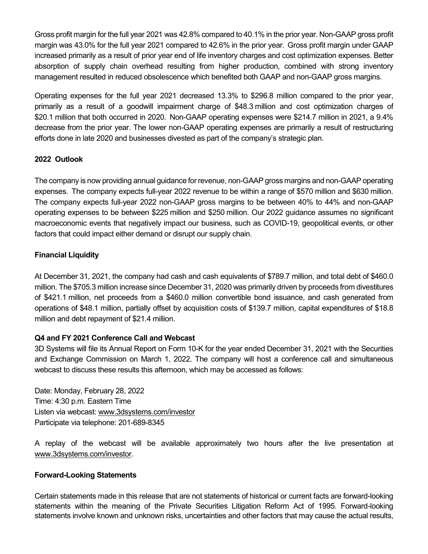Gross profit margin for the full year 2021 was 42.8% compared to 40.1% in the prior year. Non-GAAP gross profit margin was 43.0% for the full year 2021 compared to 42.6% in the prior year. Gross profit margin under GAAP increased primarily as a result of prior year end of life inventory charges and cost optimization expenses. Better absorption of supply chain overhead resulting from higher production, combined with strong inventory management resulted in reduced obsolescence which benefited both GAAP and non-GAAP gross margins.

Operating expenses for the full year 2021 decreased 13.3% to \$296.8 million compared to the prior year, primarily as a result of a goodwill impairment charge of \$48.3 million and cost optimization charges of \$20.1 million that both occurred in 2020. Non-GAAP operating expenses were \$214.7 million in 2021, a 9.4% decrease from the prior year. The lower non-GAAP operating expenses are primarily a result of restructuring efforts done in late 2020 and businesses divested as part of the company's strategic plan.

# 2022 Outlook

The company is now providing annual guidance for revenue, non-GAAP gross margins and non-GAAP operating expenses. The company expects full-year 2022 revenue to be within a range of \$570 million and \$630 million. The company expects full-year 2022 non-GAAP gross margins to be between 40% to 44% and non-GAAP operating expenses to be between \$225 million and \$250 million. Our 2022 guidance assumes no significant macroeconomic events that negatively impact our business, such as COVID-19, geopolitical events, or other factors that could impact either demand or disrupt our supply chain.

# Financial Liquidity

At December 31, 2021, the company had cash and cash equivalents of \$789.7 million, and total debt of \$460.0 million. The \$705.3 million increase since December 31, 2020 was primarily driven by proceeds from divestitures of \$421.1 million, net proceeds from a \$460.0 million convertible bond issuance, and cash generated from operations of \$48.1 million, partially offset by acquisition costs of \$139.7 million, capital expenditures of \$18.8 million and debt repayment of \$21.4 million.

## Q4 and FY 2021 Conference Call and Webcast

3D Systems will file its Annual Report on Form 10-K for the year ended December 31, 2021 with the Securities and Exchange Commission on March 1, 2022. The company will host a conference call and simultaneous webcast to discuss these results this afternoon, which may be accessed as follows:

Date: Monday, February 28, 2022 Time: 4:30 p.m. Eastern Time Listen via webcast: www.3dsystems.com/investor Participate via telephone: 201-689-8345

A replay of the webcast will be available approximately two hours after the live presentation at www.3dsystems.com/investor.

# Forward-Looking Statements

Certain statements made in this release that are not statements of historical or current facts are forward-looking statements within the meaning of the Private Securities Litigation Reform Act of 1995. Forward-looking statements involve known and unknown risks, uncertainties and other factors that may cause the actual results,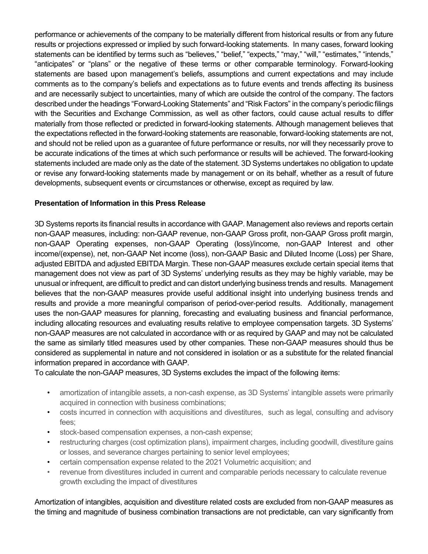performance or achievements of the company to be materially different from historical results or from any future results or projections expressed or implied by such forward-looking statements. In many cases, forward looking statements can be identified by terms such as "believes," "belief," "expects," "may," "will," "estimates," "intends," "anticipates" or "plans" or the negative of these terms or other comparable terminology. Forward-looking statements are based upon management's beliefs, assumptions and current expectations and may include comments as to the company's beliefs and expectations as to future events and trends affecting its business and are necessarily subject to uncertainties, many of which are outside the control of the company. The factors described under the headings "Forward-Looking Statements" and "Risk Factors" in the company's periodic filings with the Securities and Exchange Commission, as well as other factors, could cause actual results to differ materially from those reflected or predicted in forward-looking statements. Although management believes that the expectations reflected in the forward-looking statements are reasonable, forward-looking statements are not, and should not be relied upon as a guarantee of future performance or results, nor will they necessarily prove to be accurate indications of the times at which such performance or results will be achieved. The forward-looking statements included are made only as the date of the statement. 3D Systems undertakes no obligation to update or revise any forward-looking statements made by management or on its behalf, whether as a result of future developments, subsequent events or circumstances or otherwise, except as required by law.

## Presentation of Information in this Press Release

3D Systems reports its financial results in accordance with GAAP. Management also reviews and reports certain non-GAAP measures, including: non-GAAP revenue, non-GAAP Gross profit, non-GAAP Gross profit margin, non-GAAP Operating expenses, non-GAAP Operating (loss)/income, non-GAAP Interest and other income/(expense), net, non-GAAP Net income (loss), non-GAAP Basic and Diluted Income (Loss) per Share, adjusted EBITDA and adjusted EBITDA Margin. These non-GAAP measures exclude certain special items that management does not view as part of 3D Systems' underlying results as they may be highly variable, may be unusual or infrequent, are difficult to predict and can distort underlying business trends and results. Management believes that the non-GAAP measures provide useful additional insight into underlying business trends and results and provide a more meaningful comparison of period-over-period results. Additionally, management uses the non-GAAP measures for planning, forecasting and evaluating business and financial performance, including allocating resources and evaluating results relative to employee compensation targets. 3D Systems' non-GAAP measures are not calculated in accordance with or as required by GAAP and may not be calculated the same as similarly titled measures used by other companies. These non-GAAP measures should thus be considered as supplemental in nature and not considered in isolation or as a substitute for the related financial information prepared in accordance with GAAP.

To calculate the non-GAAP measures, 3D Systems excludes the impact of the following items:

- amortization of intangible assets, a non-cash expense, as 3D Systems' intangible assets were primarily acquired in connection with business combinations;
- costs incurred in connection with acquisitions and divestitures, such as legal, consulting and advisory fees;
- stock-based compensation expenses, a non-cash expense;
- restructuring charges (cost optimization plans), impairment charges, including goodwill, divestiture gains or losses, and severance charges pertaining to senior level employees;
- certain compensation expense related to the 2021 Volumetric acquisition; and
- revenue from divestitures included in current and comparable periods necessary to calculate revenue growth excluding the impact of divestitures

Amortization of intangibles, acquisition and divestiture related costs are excluded from non-GAAP measures as the timing and magnitude of business combination transactions are not predictable, can vary significantly from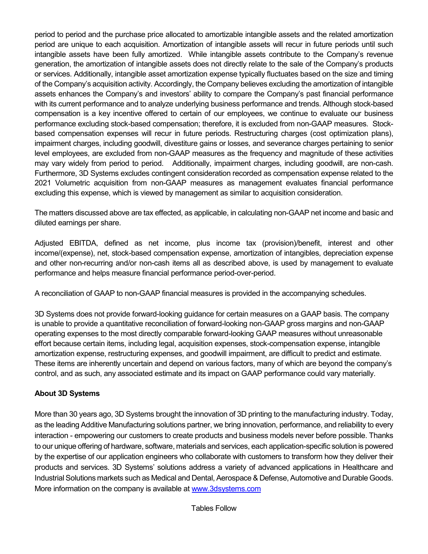period to period and the purchase price allocated to amortizable intangible assets and the related amortization period are unique to each acquisition. Amortization of intangible assets will recur in future periods until such intangible assets have been fully amortized. While intangible assets contribute to the Company's revenue generation, the amortization of intangible assets does not directly relate to the sale of the Company's products or services. Additionally, intangible asset amortization expense typically fluctuates based on the size and timing of the Company's acquisition activity. Accordingly, the Company believes excluding the amortization of intangible assets enhances the Company's and investors' ability to compare the Company's past financial performance with its current performance and to analyze underlying business performance and trends. Although stock-based compensation is a key incentive offered to certain of our employees, we continue to evaluate our business performance excluding stock-based compensation; therefore, it is excluded from non-GAAP measures. Stockbased compensation expenses will recur in future periods. Restructuring charges (cost optimization plans), impairment charges, including goodwill, divestiture gains or losses, and severance charges pertaining to senior level employees, are excluded from non-GAAP measures as the frequency and magnitude of these activities may vary widely from period to period. Additionally, impairment charges, including goodwill, are non-cash. Furthermore, 3D Systems excludes contingent consideration recorded as compensation expense related to the 2021 Volumetric acquisition from non-GAAP measures as management evaluates financial performance excluding this expense, which is viewed by management as similar to acquisition consideration.

The matters discussed above are tax effected, as applicable, in calculating non-GAAP net income and basic and diluted earnings per share.

Adjusted EBITDA, defined as net income, plus income tax (provision)/benefit, interest and other income/(expense), net, stock-based compensation expense, amortization of intangibles, depreciation expense and other non-recurring and/or non-cash items all as described above, is used by management to evaluate performance and helps measure financial performance period-over-period.

A reconciliation of GAAP to non-GAAP financial measures is provided in the accompanying schedules.

3D Systems does not provide forward-looking guidance for certain measures on a GAAP basis. The company is unable to provide a quantitative reconciliation of forward-looking non-GAAP gross margins and non-GAAP operating expenses to the most directly comparable forward-looking GAAP measures without unreasonable effort because certain items, including legal, acquisition expenses, stock-compensation expense, intangible amortization expense, restructuring expenses, and goodwill impairment, are difficult to predict and estimate. These items are inherently uncertain and depend on various factors, many of which are beyond the company's control, and as such, any associated estimate and its impact on GAAP performance could vary materially.

# About 3D Systems

More than 30 years ago, 3D Systems brought the innovation of 3D printing to the manufacturing industry. Today, as the leading Additive Manufacturing solutions partner, we bring innovation, performance, and reliability to every interaction - empowering our customers to create products and business models never before possible. Thanks to our unique offering of hardware, software, materials and services, each application-specific solution is powered by the expertise of our application engineers who collaborate with customers to transform how they deliver their products and services. 3D Systems' solutions address a variety of advanced applications in Healthcare and Industrial Solutions markets such as Medical and Dental, Aerospace & Defense, Automotive and Durable Goods. More information on the company is available at www.3dsystems.com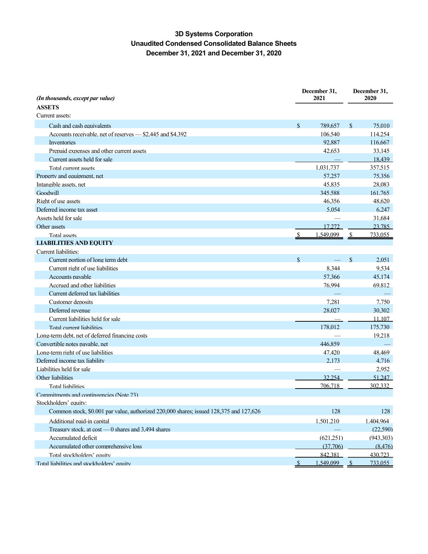# 3D Systems Corporation Unaudited Condensed Consolidated Balance Sheets December 31, 2021 and December 31, 2020

| (In thousands, except par value)                                                       | December 31,<br>2021 |              | December 31,<br>2020 |
|----------------------------------------------------------------------------------------|----------------------|--------------|----------------------|
| <b>ASSETS</b>                                                                          |                      |              |                      |
| Current assets:                                                                        |                      |              |                      |
| Cash and cash equivalents                                                              | \$<br>789.657        | $\mathbb{S}$ | 75.010               |
| Accounts receivable, net of reserves - \$2,445 and \$4,392                             | 106.540              |              | 114.254              |
| Inventories                                                                            | 92,887               |              | 116.667              |
| Prepaid expenses and other current assets                                              | 42.653               |              | 33.145               |
| Current assets held for sale                                                           |                      |              | 18.439               |
| Total current assets                                                                   | 1.031.737            |              | 357.515              |
| Property and equipment, net                                                            | 57.257               |              | 75,356               |
| Intangible assets, net                                                                 | 45.835               |              | 28.083               |
| Goodwill                                                                               | 345,588              |              | 161,765              |
| Right of use assets                                                                    | 46.356               |              | 48.620               |
| Deferred income tax asset                                                              | 5.054                |              | 6.247                |
| Assets held for sale                                                                   |                      |              | 31.684               |
| Other assets                                                                           | 17,272               |              | 23,785               |
| Total assets                                                                           | 1.549.099            |              | 733.055              |
| <b>LIABILITIES AND EOUITY</b>                                                          |                      |              |                      |
| Current liabilities:                                                                   |                      |              |                      |
| Current portion of long term debt                                                      | \$                   | $\mathbf S$  | 2.051                |
| Current right of use liabilities                                                       | 8.344                |              | 9.534                |
| Accounts payable                                                                       | 57.366               |              | 45.174               |
| Accrued and other liabilities                                                          | 76.994               |              | 69.812               |
| Current deferred tax liabilities                                                       |                      |              |                      |
| Customer deposits                                                                      | 7.281                |              | 7.750                |
| Deferred revenue                                                                       | 28.027               |              | 30.302               |
| Current liabilities held for sale                                                      |                      |              | 11.107               |
| Total current liabilities                                                              | 178.012              |              | 175.730              |
| Long-term debt, net of deferred financing costs                                        |                      |              | 19.218               |
| Convertible notes pavable, net                                                         | 446,859              |              |                      |
| Long-term right of use liabilities                                                     | 47.420               |              | 48.469               |
| Deferred income tax liability                                                          | 2.173                |              | 4.716                |
| Liabilities held for sale                                                              |                      |              | 2.952                |
| Other liabilities                                                                      | 32.254               |              | 51.247               |
| <b>Total liabilities</b>                                                               | 706.718              |              | 302.332              |
| Commitments and contingencies (Note 23)                                                |                      |              |                      |
| Stockholders' equity:                                                                  |                      |              |                      |
| Common stock, \$0.001 par value, authorized 220,000 shares; issued 128,375 and 127,626 | 128                  |              | 128                  |
| Additional paid-in capital                                                             | 1.501.210            |              | 1.404.964            |
| Treasurv stock. at cost - 0 shares and 3.494 shares                                    |                      |              | (22.590)             |
| Accumulated deficit                                                                    | (621.251)            |              | (943.303)            |
| Accumulated other comprehensive loss                                                   | (37,706)             |              | (8.476)              |
| Total stockholders' equity                                                             | 842.381              |              | 430.723              |
| Total liabilities and stockholders' equity                                             | 1,549,099            |              | 733,055              |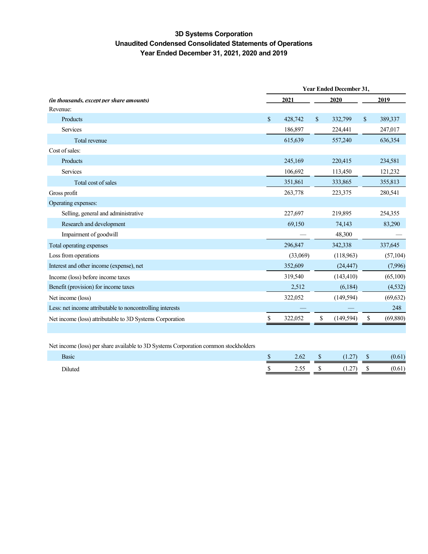## 3D Systems Corporation Unaudited Condensed Consolidated Statements of Operations Year Ended December 31, 2021, 2020 and 2019

|                                                           | <b>Year Ended December 31,</b> |          |    |            |               |           |  |  |  |
|-----------------------------------------------------------|--------------------------------|----------|----|------------|---------------|-----------|--|--|--|
| (in thousands, except per share amounts)                  |                                | 2021     |    | 2020       |               | 2019      |  |  |  |
| Revenue:                                                  |                                |          |    |            |               |           |  |  |  |
| Products                                                  | $\mathbb{S}$                   | 428,742  | \$ | 332,799    | $\mathcal{S}$ | 389,337   |  |  |  |
| Services                                                  |                                | 186,897  |    | 224,441    |               | 247,017   |  |  |  |
| Total revenue                                             |                                | 615,639  |    | 557,240    |               | 636,354   |  |  |  |
| Cost of sales:                                            |                                |          |    |            |               |           |  |  |  |
| Products                                                  |                                | 245,169  |    | 220,415    |               | 234,581   |  |  |  |
| Services                                                  |                                | 106,692  |    | 113,450    |               | 121,232   |  |  |  |
| Total cost of sales                                       |                                | 351,861  |    | 333,865    |               | 355,813   |  |  |  |
| Gross profit                                              |                                | 263,778  |    | 223,375    |               | 280,541   |  |  |  |
| Operating expenses:                                       |                                |          |    |            |               |           |  |  |  |
| Selling, general and administrative                       |                                | 227,697  |    | 219,895    |               | 254,355   |  |  |  |
| Research and development                                  |                                | 69,150   |    | 74,143     |               | 83,290    |  |  |  |
| Impairment of goodwill                                    |                                |          |    | 48,300     |               |           |  |  |  |
| Total operating expenses                                  |                                | 296,847  |    | 342,338    |               | 337,645   |  |  |  |
| Loss from operations                                      |                                | (33,069) |    | (118,963)  |               | (57, 104) |  |  |  |
| Interest and other income (expense), net                  |                                | 352,609  |    | (24, 447)  |               | (7,996)   |  |  |  |
| Income (loss) before income taxes                         |                                | 319,540  |    | (143, 410) |               | (65,100)  |  |  |  |
| Benefit (provision) for income taxes                      |                                | 2,512    |    | (6,184)    |               | (4, 532)  |  |  |  |
| Net income (loss)                                         |                                | 322,052  |    | (149, 594) |               | (69, 632) |  |  |  |
| Less: net income attributable to noncontrolling interests |                                |          |    |            |               | 248       |  |  |  |
| Net income (loss) attributable to 3D Systems Corporation  | \$                             | 322,052  |    | (149, 594) |               | (69, 880) |  |  |  |

Net income (loss) per share available to 3D Systems Corporation common stockholders

| Basic          | w | 2.62 | w | $\sim$<br>$\overline{1}$ | w | (0, 1)<br>0.61 |
|----------------|---|------|---|--------------------------|---|----------------|
| <b>Diluted</b> | . | 2.55 |   | $\overline{1}$           | . | 0.61           |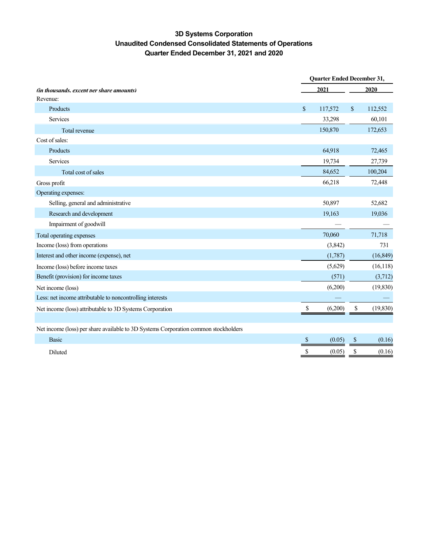# 3D Systems Corporation Unaudited Condensed Consolidated Statements of Operations Quarter Ended December 31, 2021 and 2020

|                                                                                     | <b>Quarter Ended December 31,</b> |         |      |           |  |  |
|-------------------------------------------------------------------------------------|-----------------------------------|---------|------|-----------|--|--|
| <i>(in thousands, except per share amounts)</i>                                     |                                   | 2021    | 2020 |           |  |  |
| Revenue:                                                                            |                                   |         |      |           |  |  |
| Products                                                                            | \$                                | 117,572 | \$   | 112,552   |  |  |
| <b>Services</b>                                                                     |                                   | 33,298  |      | 60,101    |  |  |
| Total revenue                                                                       |                                   | 150,870 |      | 172,653   |  |  |
| Cost of sales:                                                                      |                                   |         |      |           |  |  |
| Products                                                                            |                                   | 64,918  |      | 72,465    |  |  |
| Services                                                                            |                                   | 19,734  |      | 27,739    |  |  |
| Total cost of sales                                                                 |                                   | 84,652  |      | 100,204   |  |  |
| Gross profit                                                                        |                                   | 66,218  |      | 72,448    |  |  |
| Operating expenses:                                                                 |                                   |         |      |           |  |  |
| Selling, general and administrative                                                 |                                   | 50,897  |      | 52,682    |  |  |
| Research and development                                                            |                                   | 19,163  |      | 19,036    |  |  |
| Impairment of goodwill                                                              |                                   |         |      |           |  |  |
| Total operating expenses                                                            |                                   | 70,060  |      | 71,718    |  |  |
| Income (loss) from operations                                                       |                                   | (3,842) |      | 731       |  |  |
| Interest and other income (expense), net                                            |                                   | (1,787) |      | (16, 849) |  |  |
| Income (loss) before income taxes                                                   |                                   | (5,629) |      | (16, 118) |  |  |
| Benefit (provision) for income taxes                                                |                                   | (571)   |      | (3,712)   |  |  |
| Net income (loss)                                                                   |                                   | (6,200) |      | (19, 830) |  |  |
| Less: net income attributable to noncontrolling interests                           |                                   |         |      |           |  |  |
| Net income (loss) attributable to 3D Systems Corporation                            | $\mathcal{S}$                     | (6,200) | \$   | (19, 830) |  |  |
|                                                                                     |                                   |         |      |           |  |  |
| Net income (loss) per share available to 3D Systems Corporation common stockholders |                                   |         |      |           |  |  |
| Basic                                                                               | S                                 | (0.05)  | S    | (0.16)    |  |  |
| Diluted                                                                             |                                   | (0.05)  | S    | (0.16)    |  |  |
|                                                                                     |                                   |         |      |           |  |  |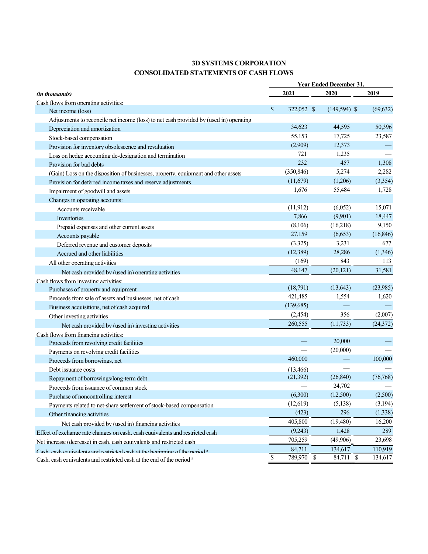## 3D SYSTEMS CORPORATION CONSOLIDATED STATEMENTS OF CASH FLOWS

|                                                                                        |                  |              | <b>Year Ended December 31.</b> |             |           |
|----------------------------------------------------------------------------------------|------------------|--------------|--------------------------------|-------------|-----------|
| <i>(in thousands)</i>                                                                  | 2021             |              | 2020                           |             | 2019      |
| Cash flows from operating activities:                                                  |                  |              |                                |             |           |
| Net income (loss)                                                                      | \$<br>322,052 \$ |              | $(149, 594)$ \$                |             | (69, 632) |
| Adjustments to reconcile net income (loss) to net cash provided by (used in) operating |                  |              |                                |             |           |
| Depreciation and amortization                                                          | 34,623           |              | 44,595                         |             | 50,396    |
| Stock-based compensation                                                               | 55,153           |              | 17,725                         |             | 23,587    |
| Provision for inventory obsolescence and revaluation                                   | (2,909)          |              | 12,373                         |             |           |
| Loss on hedge accounting de-designation and termination                                | 721              |              | 1,235                          |             |           |
| Provision for bad debts                                                                | 232              |              | 457                            |             | 1,308     |
| (Gain) Loss on the disposition of businesses, property, equipment and other assets     | (350, 846)       |              | 5,274                          |             | 2,282     |
| Provision for deferred income taxes and reserve adjustments                            | (11,679)         |              | (1,206)                        |             | (3,354)   |
| Impairment of goodwill and assets                                                      | 1,676            |              | 55,484                         |             | 1,728     |
| Changes in operating accounts:                                                         |                  |              |                                |             |           |
| Accounts receivable                                                                    | (11, 912)        |              | (6,052)                        |             | 15,071    |
| Inventories                                                                            | 7,866            |              | (9,901)                        |             | 18,447    |
| Prepaid expenses and other current assets                                              | (8,106)          |              | (16,218)                       |             | 9,150     |
| Accounts payable                                                                       | 27,159           |              | (6,653)                        |             | (16, 846) |
| Deferred revenue and customer deposits                                                 | (3,325)          |              | 3,231                          |             | 677       |
| Accrued and other liabilities                                                          | (12,389)         |              | 28,286                         |             | (1,346)   |
| All other operating activities                                                         | (169)            |              | 843                            |             | 113       |
| Net cash provided by (used in) operating activities                                    | 48,147           |              | (20, 121)                      |             | 31,581    |
| Cash flows from investing activities:                                                  |                  |              |                                |             |           |
| Purchases of property and equipment                                                    | (18,791)         |              | (13, 643)                      |             | (23,985)  |
| Proceeds from sale of assets and businesses, net of cash                               | 421,485          |              | 1,554                          |             | 1,620     |
| Business acquisitions, net of cash acquired                                            | (139,685)        |              |                                |             |           |
| Other investing activities                                                             | (2,454)          |              | 356                            |             | (2,007)   |
| Net cash provided by (used in) investing activities                                    | 260,555          |              | (11, 733)                      |             | (24, 372) |
| Cash flows from financing activities:                                                  |                  |              |                                |             |           |
| Proceeds from revolving credit facilities                                              |                  |              | 20,000                         |             |           |
| Payments on revolving credit facilities                                                |                  |              | (20,000)                       |             |           |
| Proceeds from borrowings, net                                                          | 460,000          |              |                                |             | 100,000   |
| Debt issuance costs                                                                    | (13, 466)        |              |                                |             |           |
| Repayment of borrowings/long-term debt                                                 | (21,392)         |              | (26, 840)                      |             | (76, 768) |
| Proceeds from issuance of common stock                                                 |                  |              | 24,702                         |             |           |
| Purchase of noncontrolling interest                                                    | (6,300)          |              | (12,500)                       |             | (2,500)   |
| Payments related to net-share settlement of stock-based compensation                   | (12,619)         |              | (5,138)                        |             | (3,194)   |
| Other financing activities                                                             | (423)            |              | 296                            |             | (1,338)   |
| Net cash provided by (used in) financing activities                                    | 405,800          |              | (19,480)                       |             | 16,200    |
| Effect of exchange rate changes on cash, cash equivalents and restricted cash          | (9,243)          |              | 1,428                          |             | 289       |
| Net increase (decrease) in cash. cash equivalents and restricted cash                  | 705,259          |              | (49,906)                       |             | 23,698    |
| Cash, each equivalents and restricted each at the heminning of the neriod a            | 84,711           |              | 134,617                        |             | 110,919   |
| Cash. cash equivalents and restricted cash at the end of the period a                  | \$<br>789,970    | $\mathbb{S}$ | 84,711                         | $\mathbb S$ | 134,617   |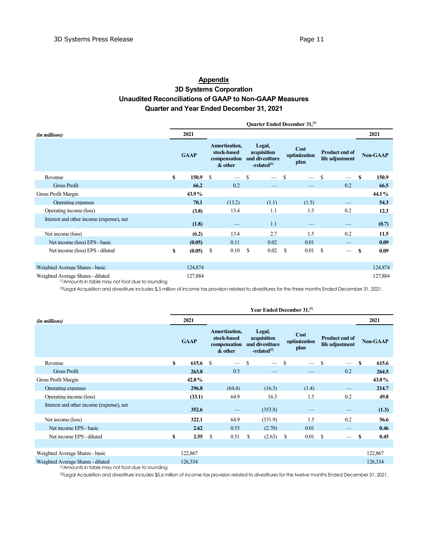#### **Appendix** 3D Systems Corporation Unaudited Reconciliations of GAAP to Non-GAAP Measures Quarter and Year Ended December 31, 2021

Quarter Ended December 31,<sup>(1)</sup> (in millions) 2021 2021 **GAAP** Amortization, stock-based compensation and divestiture & other Legal, acquisition  $-related<sup>(2)</sup>$ Cost optimization plan Product end of Product end of<br>life adjustment Non-GAAP Revenue 5 150.9 \$  $-$  \$  $-$  \$  $-$  \$ 150.9 Gross Profit 66.2  $66.2$   $0.2$   $0.2$   $66.5$ Gross Profit Margin 2008 2008 2009 2009 2009 44.1% 45.9% 44.1% 45.9% 45.9% 45.9% 45.9% 45.9% 45.9% 45.9% 45.9% 45.9% 45.9% 45.9% 45.9% 45.9% 45.9% 45.9% 45.9% 45.9% 45.9% 45.9% 45.9% 46.9% 46.9% 46.9% 46.9% 46.9% 46.9% 46. Operating expenses **70.1** (13.2) (1.1) (1.5) — 54.3 Operating income (loss) (3.8) 13.4 1.1 1.5 0.2 12.3 Interest and other income (expense), net (1.8)  $-$  1.1  $-$  (0.7) Net income (loss) (6.2) 13.4 2.7 1.5 0.2 11.5 Net income (loss) EPS - basic (0.05) 0.11 0.02 0.01 — 0.09 Net income (loss) EPS - diluted **\$** (0.05) \$ 0.10 \$ 0.02 \$ 0.01 \$ — \$ 0.09 Weighted Average Shares - basic 124,874 124,874 Weighted Average Shares - diluted 127,884 127,884 (1)Amounts in table may not foot due to rounding

<sup>(2)</sup>Legal Acquisition and divestiture includes \$.5 million of income tax provision related to divestitures for the three months Ended December 31, 2021.

|                                          |    |             |               |                                                         |    | Year Ended December 31. <sup>(1)</sup>                    |               |                              |              |                                          |              |                 |
|------------------------------------------|----|-------------|---------------|---------------------------------------------------------|----|-----------------------------------------------------------|---------------|------------------------------|--------------|------------------------------------------|--------------|-----------------|
| (in millions)                            |    | 2021        |               |                                                         |    |                                                           |               |                              |              |                                          |              | 2021            |
|                                          |    | <b>GAAP</b> |               | Amortization,<br>stock-based<br>compensation<br>& other |    | Legal,<br>acquisition<br>and divestiture<br>$-related(2)$ |               | Cost<br>optimization<br>plan |              | <b>Product end of</b><br>life adjustment |              | <b>Non-GAAP</b> |
| Revenue                                  | S  | 615.6       | -S            |                                                         | S  | $\overline{\phantom{a}}$                                  | <sup>\$</sup> |                              | <sup>S</sup> |                                          | <sup>S</sup> | 615.6           |
| <b>Gross Profit</b>                      |    | 263.8       |               | 0.5                                                     |    |                                                           |               |                              |              | 0.2                                      |              | 264.5           |
| Gross Profit Margin                      |    | 42.8%       |               |                                                         |    |                                                           |               |                              |              |                                          |              | 43.0%           |
| Operating expenses                       |    | 296.8       |               | (64.4)                                                  |    | (16.3)                                                    |               | (1.4)                        |              |                                          |              | 214.7           |
| Operating income (loss)                  |    | (33.1)      |               | 64.9                                                    |    | 16.3                                                      |               | 1.5                          |              | 0.2                                      |              | 49.8            |
| Interest and other income (expense), net |    | 352.6       |               |                                                         |    | (353.8)                                                   |               |                              |              |                                          |              | (1.3)           |
| Net income (loss)                        |    | 322.1       |               | 64.9                                                    |    | (331.9)                                                   |               | 1.5                          |              | 0.2                                      |              | 56.6            |
| Net income EPS - basic                   |    | 2.62        |               | 0.53                                                    |    | (2.70)                                                    |               | 0.01                         |              |                                          |              | 0.46            |
| Net income EPS - diluted                 | \$ | 2.55        | <sup>\$</sup> | 0.51                                                    | \$ | (2.63)                                                    | \$            | 0.01                         | $\mathbf{s}$ |                                          | S            | 0.45            |
|                                          |    |             |               |                                                         |    |                                                           |               |                              |              |                                          |              |                 |
| Weighted Average Shares - basic          |    | 122,867     |               |                                                         |    |                                                           |               |                              |              |                                          |              | 122,867         |
| Weighted Average Shares - diluted        |    | 126,334     |               |                                                         |    |                                                           |               |                              |              |                                          |              | 126,334         |

(1)Amounts in table may not foot due to rounding

(2)Legal Acquisition and divestiture includes \$5.6 million of income tax provision related to divestitures for the twelve months Ended December 31, 2021.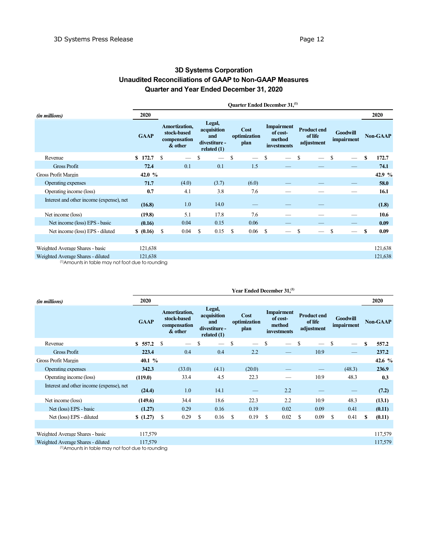# 3D Systems Corporation Unaudited Reconciliations of GAAP to Non-GAAP Measures Quarter and Year Ended December 31, 2020

|                                                                                        |             | Quarter Ended December 31, <sup>(1)</sup> |                                                                                                                                                                                                                                                                                                     |               |       |               |                          |               |  |               |                          |               |                          |          |         |
|----------------------------------------------------------------------------------------|-------------|-------------------------------------------|-----------------------------------------------------------------------------------------------------------------------------------------------------------------------------------------------------------------------------------------------------------------------------------------------------|---------------|-------|---------------|--------------------------|---------------|--|---------------|--------------------------|---------------|--------------------------|----------|---------|
| (in millions)                                                                          | 2020        |                                           |                                                                                                                                                                                                                                                                                                     |               |       |               |                          |               |  |               |                          |               |                          |          | 2020    |
|                                                                                        | <b>GAAP</b> |                                           | Legal,<br>Amortization,<br><b>Impairment</b><br><b>Product end</b><br>Cost<br>acquisition<br>stock-based<br><b>Goodwill</b><br>of cost-<br>of life<br>optimization<br>and<br>impairment<br>method<br>compensation<br>divestiture -<br>adjustment<br>plan<br>& other<br>investments<br>related $(1)$ |               |       |               | <b>Non-GAAP</b>          |               |  |               |                          |               |                          |          |         |
| Revenue                                                                                | 172.7<br>S. | <sup>\$</sup>                             | $\overline{\phantom{a}}$                                                                                                                                                                                                                                                                            | \$            |       | <sup>\$</sup> | $\overline{\phantom{0}}$ | <sup>\$</sup> |  | -S            | $\overline{\phantom{0}}$ | -S            | $\overline{\phantom{a}}$ | <b>S</b> | 172.7   |
| <b>Gross Profit</b>                                                                    | 72.4        |                                           | 0.1                                                                                                                                                                                                                                                                                                 |               | 0.1   |               | 1.5                      |               |  |               |                          |               |                          |          | 74.1    |
| Gross Profit Margin                                                                    | 42.0 $%$    |                                           |                                                                                                                                                                                                                                                                                                     |               |       |               |                          |               |  |               |                          |               |                          |          | 42.9 %  |
| Operating expenses                                                                     | 71.7        |                                           | (4.0)                                                                                                                                                                                                                                                                                               |               | (3.7) |               | (6.0)                    |               |  |               |                          |               |                          |          | 58.0    |
| Operating income (loss)                                                                | 0.7         |                                           | 4.1                                                                                                                                                                                                                                                                                                 |               | 3.8   |               | 7.6                      |               |  |               |                          |               |                          |          | 16.1    |
| Interest and other income (expense), net                                               | (16.8)      |                                           | 1.0                                                                                                                                                                                                                                                                                                 |               | 14.0  |               |                          |               |  |               |                          |               |                          |          | (1.8)   |
| Net income (loss)                                                                      | (19.8)      |                                           | 5.1                                                                                                                                                                                                                                                                                                 |               | 17.8  |               | 7.6                      |               |  |               |                          |               |                          |          | 10.6    |
| Net income (loss) EPS - basic                                                          | (0.16)      |                                           | 0.04                                                                                                                                                                                                                                                                                                |               | 0.15  |               | 0.06                     |               |  |               |                          |               |                          |          | 0.09    |
| Net income (loss) EPS - diluted                                                        | \$ (0.16)   | <sup>\$</sup>                             | 0.04                                                                                                                                                                                                                                                                                                | <sup>\$</sup> | 0.15  | \$            | 0.06                     | $\mathbf{s}$  |  | <sup>\$</sup> |                          | <sup>\$</sup> |                          | S        | 0.09    |
|                                                                                        |             |                                           |                                                                                                                                                                                                                                                                                                     |               |       |               |                          |               |  |               |                          |               |                          |          |         |
| Weighted Average Shares - basic                                                        | 121,638     |                                           |                                                                                                                                                                                                                                                                                                     |               |       |               |                          |               |  |               |                          |               |                          |          | 121,638 |
| Weighted Average Shares - diluted<br>(1) Amounts in table may not foot due to rounding | 121,638     |                                           |                                                                                                                                                                                                                                                                                                     |               |       |               |                          |               |  |               |                          |               |                          |          | 121,638 |

(1)Amounts in table may not foot due to rounding

|                                          | Year Ended December 31, <sup>(1)</sup> |                                                         |                                                                |                              |                                                        |                                             |                               |                 |  |  |  |  |
|------------------------------------------|----------------------------------------|---------------------------------------------------------|----------------------------------------------------------------|------------------------------|--------------------------------------------------------|---------------------------------------------|-------------------------------|-----------------|--|--|--|--|
| (in millions)                            | 2020                                   |                                                         |                                                                |                              |                                                        |                                             |                               | 2020            |  |  |  |  |
|                                          | <b>GAAP</b>                            | Amortization,<br>stock-based<br>compensation<br>& other | Legal,<br>acquisition<br>and<br>divestiture -<br>related $(1)$ | Cost<br>optimization<br>plan | <b>Impairment</b><br>of cost-<br>method<br>investments | <b>Product end</b><br>of life<br>adjustment | <b>Goodwill</b><br>impairment | <b>Non-GAAP</b> |  |  |  |  |
| Revenue                                  | \$557.2                                | \$.                                                     | S                                                              | $\mathbb{S}$                 | S                                                      | S                                           | <sup>\$</sup>                 | S<br>557.2      |  |  |  |  |
| <b>Gross Profit</b>                      | 223.4                                  | 0.4                                                     | 0.4                                                            | 2.2                          |                                                        | 10.9                                        |                               | 237.2           |  |  |  |  |
| <b>Gross Profit Margin</b>               | 40.1 %                                 |                                                         |                                                                |                              |                                                        |                                             |                               | 42.6 %          |  |  |  |  |
| Operating expenses                       | 342.3                                  | (33.0)                                                  | (4.1)                                                          | (20.0)                       |                                                        |                                             | (48.3)                        | 236.9           |  |  |  |  |
| Operating income (loss)                  | (119.0)                                | 33.4                                                    | 4.5                                                            | 22.3                         |                                                        | 10.9                                        | 48.3                          | 0.3             |  |  |  |  |
| Interest and other income (expense), net | (24.4)                                 | 1.0                                                     | 14.1                                                           |                              | 2.2                                                    |                                             |                               | (7.2)           |  |  |  |  |
| Net income (loss)                        | (149.6)                                | 34.4                                                    | 18.6                                                           | 22.3                         | 2.2                                                    | 10.9                                        | 48.3                          | (13.1)          |  |  |  |  |
| Net (loss) EPS - basic                   | (1.27)                                 | 0.29                                                    | 0.16                                                           | 0.19                         | 0.02                                                   | 0.09                                        | 0.41                          | (0.11)          |  |  |  |  |
| Net (loss) EPS - diluted                 | \$(1.27)                               | \$<br>0.29                                              | \$<br>0.16                                                     | S<br>0.19                    | \$<br>0.02                                             | 0.09<br>S                                   | \$<br>0.41                    | (0.11)<br>S     |  |  |  |  |
|                                          |                                        |                                                         |                                                                |                              |                                                        |                                             |                               |                 |  |  |  |  |
| Weighted Average Shares - basic          | 117,579                                |                                                         |                                                                |                              |                                                        |                                             |                               | 117,579         |  |  |  |  |
| Weighted Average Shares - diluted        | 117,579                                |                                                         |                                                                |                              |                                                        |                                             |                               | 117,579         |  |  |  |  |

(1)Amounts in table may not foot due to rounding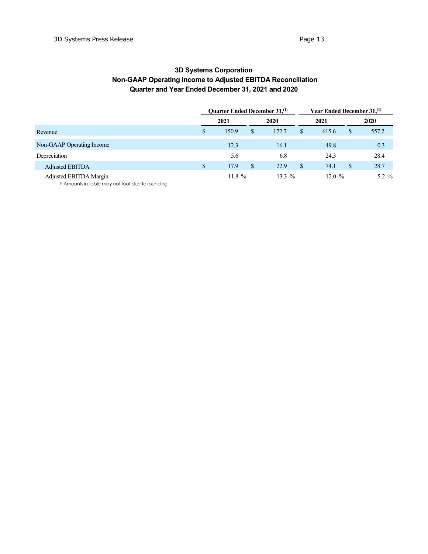# 3D Systems Corporation Non-GAAP Operating Income to Adjusted EBITDA Reconciliation Quarter and Year Ended December 31, 2021 and 2020

|                           | <b>Ouarter Ended December 31, (1)</b> |               | Year Ended December 31, <sup>(1)</sup> |    |          |    |         |
|---------------------------|---------------------------------------|---------------|----------------------------------------|----|----------|----|---------|
|                           | 2021                                  |               | 2020                                   |    | 2021     |    | 2020    |
| Revenue                   | 150.9                                 | S             | 172.7                                  | \$ | 615.6    | \$ | 557.2   |
| Non-GAAP Operating Income | 12.3                                  |               | 16.1                                   |    | 49.8     |    | 0.3     |
| Depreciation              | 5.6                                   |               | 6.8                                    |    | 24.3     |    | 28.4    |
| <b>Adjusted EBITDA</b>    | \$<br>17.9                            | <sup>\$</sup> | 22.9                                   | \$ | 74.1     | \$ | 28.7    |
| Adjusted EBITDA Margin    | 11.8 $%$                              |               | $13.3\%$                               |    | 12.0 $%$ |    | 5.2 $%$ |

(1)Amounts in table may not foot due to rounding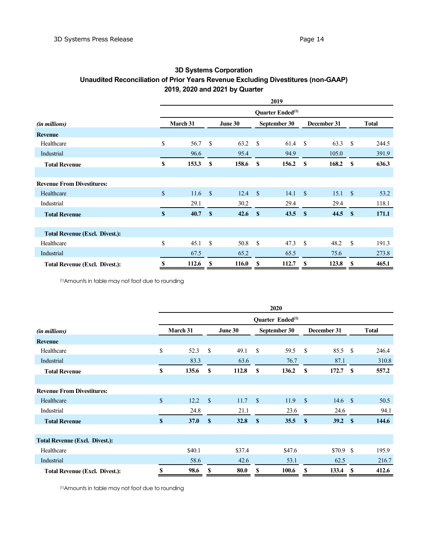# 3D Systems Corporation Unaudited Reconciliation of Prior Years Revenue Excluding Divestitures (non-GAAP) 2019, 2020 and 2021 by Quarter

|                                       | 2019         |                              |               |         |               |              |               |             |                    |              |  |
|---------------------------------------|--------------|------------------------------|---------------|---------|---------------|--------------|---------------|-------------|--------------------|--------------|--|
|                                       |              | Quarter Ended <sup>(1)</sup> |               |         |               |              |               |             |                    |              |  |
| <i>(in millions)</i>                  |              | March 31                     |               | June 30 |               | September 30 |               | December 31 |                    | <b>Total</b> |  |
| <b>Revenue</b>                        |              |                              |               |         |               |              |               |             |                    |              |  |
| Healthcare                            | \$           | 56.7                         | -S            | 63.2    | \$            | 61.4         | <sup>\$</sup> | 63.3        | \$                 | 244.5        |  |
| Industrial                            |              | 96.6                         |               | 95.4    |               | 94.9         |               | 105.0       |                    | 391.9        |  |
| <b>Total Revenue</b>                  | S            | 153.3                        | -S            | 158.6   | <b>S</b>      | 156.2        | S             | 168.2       | -S                 | 636.3        |  |
|                                       |              |                              |               |         |               |              |               |             |                    |              |  |
| <b>Revenue From Divestitures:</b>     |              |                              |               |         |               |              |               |             |                    |              |  |
| Healthcare                            | $\mathbf S$  | 11.6                         | $\mathcal{S}$ | 12.4    | <sup>\$</sup> | 14.1         | $\mathbb{S}$  | 15.1        | $\mathbf{\hat{s}}$ | 53.2         |  |
| Industrial                            |              | 29.1                         |               | 30.2    |               | 29.4         |               | 29.4        |                    | 118.1        |  |
| <b>Total Revenue</b>                  | $\mathbf{s}$ | 40.7                         | $\mathbf{s}$  | 42.6    | $\mathbf{s}$  | 43.5         | <b>S</b>      | 44.5        | $\mathbf{s}$       | 171.1        |  |
|                                       |              |                              |               |         |               |              |               |             |                    |              |  |
| <b>Total Revenue (Excl. Divest.):</b> |              |                              |               |         |               |              |               |             |                    |              |  |
| Healthcare                            | \$           | 45.1                         | <sup>\$</sup> | 50.8    | <sup>\$</sup> | 47.3         | <sup>\$</sup> | 48.2        | <sup>\$</sup>      | 191.3        |  |
| Industrial                            |              | 67.5                         |               | 65.2    |               | 65.5         |               | 75.6        |                    | 273.8        |  |
| <b>Total Revenue (Excl. Divest.):</b> | S            | 112.6                        | S             | 116.0   | S             | 112.7        | S             | 123.8       | S                  | 465.1        |  |

(1)Amounts in table may not foot due to rounding

|                                       | 2020         |                                     |              |        |               |        |                    |                    |          |              |  |  |  |
|---------------------------------------|--------------|-------------------------------------|--------------|--------|---------------|--------|--------------------|--------------------|----------|--------------|--|--|--|
|                                       |              | <b>Ouarter Ended</b> <sup>(1)</sup> |              |        |               |        |                    |                    |          |              |  |  |  |
| <i>(in millions)</i>                  | March 31     |                                     | June 30      |        | September 30  |        | December 31        |                    |          | <b>Total</b> |  |  |  |
| <b>Revenue</b>                        |              |                                     |              |        |               |        |                    |                    |          |              |  |  |  |
| Healthcare                            | \$           | 52.3                                | \$           | 49.1   | \$            | 59.5   | <sup>\$</sup>      | 85.5 S             |          | 246.4        |  |  |  |
| Industrial                            |              | 83.3                                |              | 63.6   |               | 76.7   |                    | 87.1               |          | 310.8        |  |  |  |
| <b>Total Revenue</b>                  | \$           | 135.6                               | S            | 112.8  | S             | 136.2  | S                  | 172.7              | <b>S</b> | 557.2        |  |  |  |
|                                       |              |                                     |              |        |               |        |                    |                    |          |              |  |  |  |
| <b>Revenue From Divestitures:</b>     |              |                                     |              |        |               |        |                    |                    |          |              |  |  |  |
| Healthcare                            | $\mathbb{S}$ | 12.2                                | $\mathbf S$  | 11.7   | <sup>\$</sup> | 11.9   | $\mathbf{\hat{s}}$ | 14.6 $\frac{1}{2}$ |          | 50.5         |  |  |  |
| Industrial                            |              | 24.8                                |              | 21.1   |               | 23.6   |                    | 24.6               |          | 94.1         |  |  |  |
| <b>Total Revenue</b>                  | $\mathbf{s}$ | <b>37.0</b>                         | $\mathbf{s}$ | 32.8   | $\mathbf{s}$  | 35.5   | \$                 | 39.2 S             |          | 144.6        |  |  |  |
|                                       |              |                                     |              |        |               |        |                    |                    |          |              |  |  |  |
| <b>Total Revenue (Excl. Divest.):</b> |              |                                     |              |        |               |        |                    |                    |          |              |  |  |  |
| Healthcare                            |              | \$40.1                              |              | \$37.4 |               | \$47.6 |                    | $$70.9$ \$         |          | 195.9        |  |  |  |
| Industrial                            |              | 58.6                                |              | 42.6   |               | 53.1   |                    | 62.5               |          | 216.7        |  |  |  |
| <b>Total Revenue (Excl. Divest.):</b> | \$           | 98.6                                | S            | 80.0   | \$            | 100.6  | \$                 | 133.4              | S        | 412.6        |  |  |  |

(1)Amounts in table may not foot due to rounding